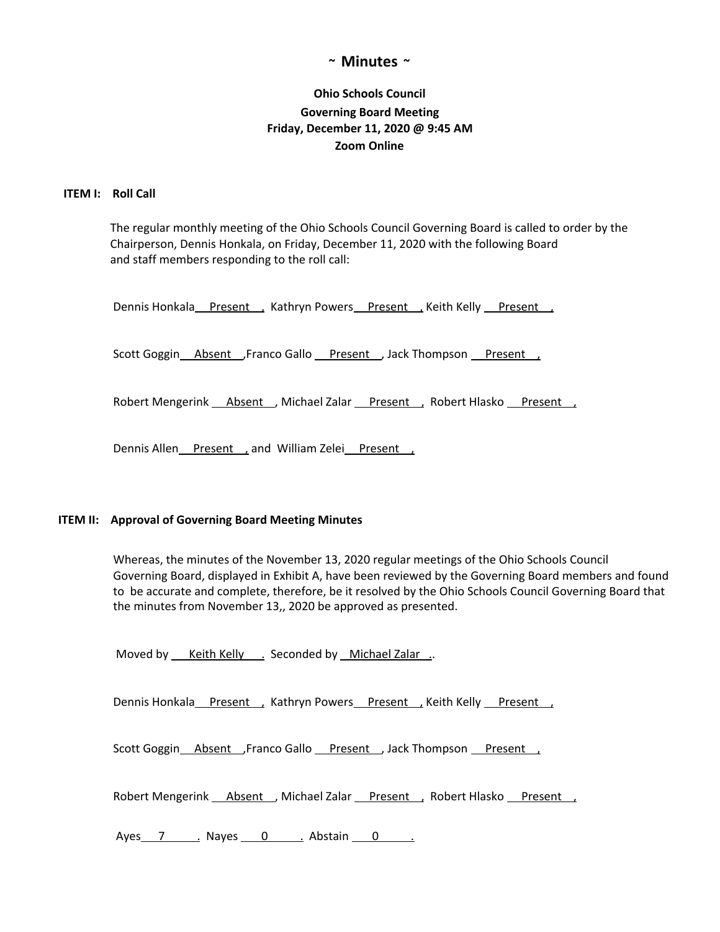## **~ Minutes ~**

# **Ohio Schools Council Governing Board Meeting Friday, December 11, 2020 @ 9:45 AM Zoom Online**

## **ITEM I: Roll Call**

The regular monthly meeting of the Ohio Schools Council Governing Board is called to order by the Chairperson, Dennis Honkala, on Friday, December 11, 2020 with the following Board and staff members responding to the roll call:

Dennis Honkala Present , Kathryn Powers Present , Keith Kelly Present ,

Scott Goggin Absent Franco Gallo Present , Jack Thompson Present ,

Robert Mengerink \_\_ Absent \_\_, Michael Zalar \_\_ Present \_\_, Robert Hlasko \_\_ Present \_\_,

Dennis Allen Present, and William Zelei Present,

#### **ITEM II: Approval of Governing Board Meeting Minutes**

Whereas, the minutes of the November 13, 2020 regular meetings of the Ohio Schools Council Governing Board, displayed in Exhibit A, have been reviewed by the Governing Board members and found to be accurate and complete, therefore, be it resolved by the Ohio Schools Council Governing Board that the minutes from November 13,, 2020 be approved as presented.

Moved by \_\_\_ Keith Kelly \_\_\_ Seconded by \_\_ Michael Zalar ...

Dennis Honkala Present , Kathryn Powers Present , Keith Kelly Present

Scott Goggin Absent Franco Gallo Present , Jack Thompson Present ,

Robert Mengerink **Absent** , Michael Zalar Present , Robert Hlasko Present ,

Ayes 7 . Nayes 0 . Abstain 0 .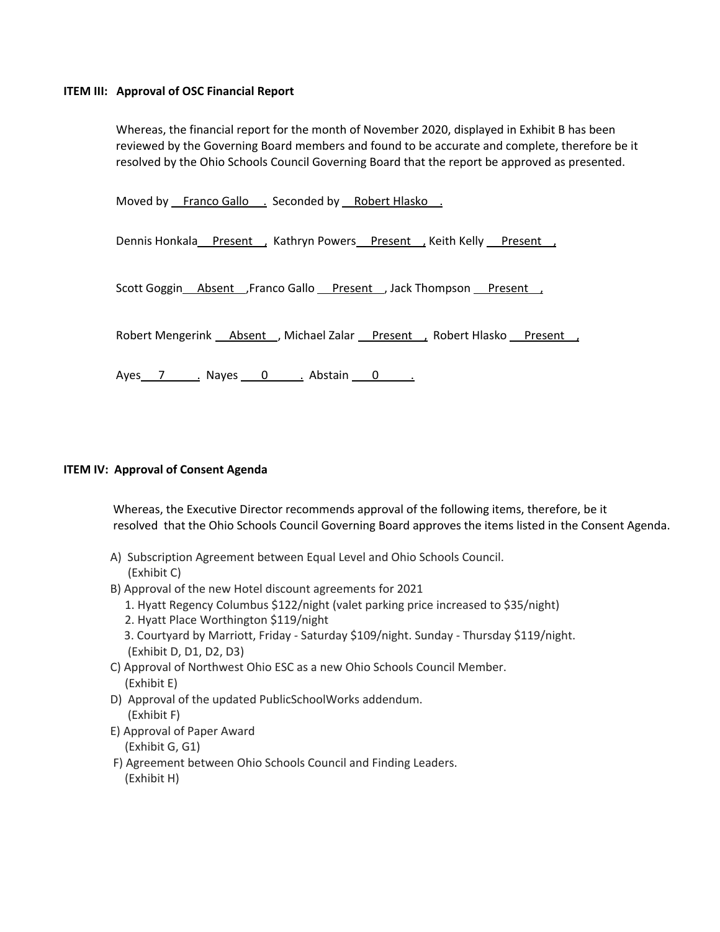### **ITEM III: Approval of OSC Financial Report**

Whereas, the financial report for the month of November 2020, displayed in Exhibit B has been reviewed by the Governing Board members and found to be accurate and complete, therefore be it resolved by the Ohio Schools Council Governing Board that the report be approved as presented.

Moved by Franco Gallo . Seconded by Robert Hlasko .

Dennis Honkala Present , Kathryn Powers Present , Keith Kelly Present ,

Scott Goggin Absent ,Franco Gallo Present , Jack Thompson Present ,

Robert Mengerink Absent , Michael Zalar Present , Robert Hlasko Present ,

Ayes 7 . Nayes 0 . Abstain 0 .

#### **ITEM IV: Approval of Consent Agenda**

Whereas, the Executive Director recommends approval of the following items, therefore, be it resolved that the Ohio Schools Council Governing Board approves the items listed in the Consent Agenda.

- A) Subscription Agreement between Equal Level and Ohio Schools Council. (Exhibit C)
- B) Approval of the new Hotel discount agreements for 2021
	- 1. Hyatt Regency Columbus \$122/night (valet parking price increased to \$35/night)
	- 2. Hyatt Place Worthington \$119/night
	- 3. Courtyard by Marriott, Friday Saturday \$109/night. Sunday Thursday \$119/night. (Exhibit D, D1, D2, D3)
- C) Approval of Northwest Ohio ESC as a new Ohio Schools Council Member. (Exhibit E)
- D) Approval of the updated PublicSchoolWorks addendum. (Exhibit F)
- E) Approval of Paper Award

(Exhibit G, G1)

F) Agreement between Ohio Schools Council and Finding Leaders. (Exhibit H)